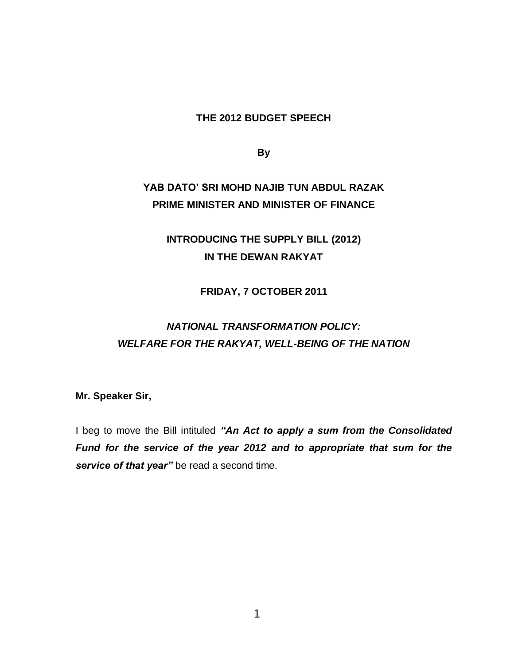#### **THE 2012 BUDGET SPEECH**

**By**

# **YAB DATO' SRI MOHD NAJIB TUN ABDUL RAZAK PRIME MINISTER AND MINISTER OF FINANCE**

## **INTRODUCING THE SUPPLY BILL (2012) IN THE DEWAN RAKYAT**

#### **FRIDAY, 7 OCTOBER 2011**

# *NATIONAL TRANSFORMATION POLICY: WELFARE FOR THE RAKYAT, WELL-BEING OF THE NATION*

**Mr. Speaker Sir,**

I beg to move the Bill intituled *"An Act to apply a sum from the Consolidated Fund for the service of the year 2012 and to appropriate that sum for the service of that year"* be read a second time.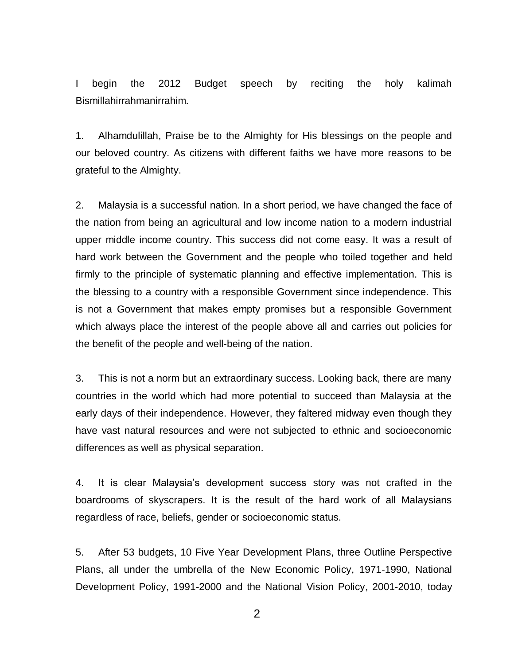I begin the 2012 Budget speech by reciting the holy kalimah Bismillahirrahmanirrahim.

1. Alhamdulillah, Praise be to the Almighty for His blessings on the people and our beloved country. As citizens with different faiths we have more reasons to be grateful to the Almighty.

2. Malaysia is a successful nation. In a short period, we have changed the face of the nation from being an agricultural and low income nation to a modern industrial upper middle income country. This success did not come easy. It was a result of hard work between the Government and the people who toiled together and held firmly to the principle of systematic planning and effective implementation. This is the blessing to a country with a responsible Government since independence. This is not a Government that makes empty promises but a responsible Government which always place the interest of the people above all and carries out policies for the benefit of the people and well-being of the nation.

3. This is not a norm but an extraordinary success. Looking back, there are many countries in the world which had more potential to succeed than Malaysia at the early days of their independence. However, they faltered midway even though they have vast natural resources and were not subjected to ethnic and socioeconomic differences as well as physical separation.

4. It is clear Malaysia's development success story was not crafted in the boardrooms of skyscrapers. It is the result of the hard work of all Malaysians regardless of race, beliefs, gender or socioeconomic status.

5. After 53 budgets, 10 Five Year Development Plans, three Outline Perspective Plans, all under the umbrella of the New Economic Policy, 1971-1990, National Development Policy, 1991-2000 and the National Vision Policy, 2001-2010, today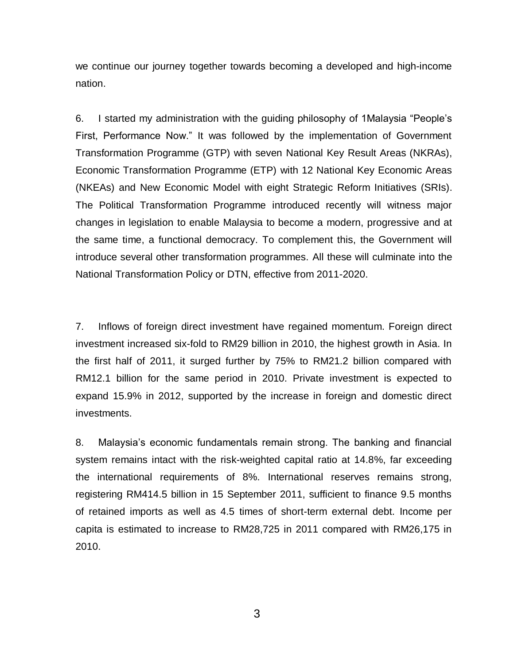we continue our journey together towards becoming a developed and high-income nation.

6. I started my administration with the guiding philosophy of 1Malaysia "People's First, Performance Now." It was followed by the implementation of Government Transformation Programme (GTP) with seven National Key Result Areas (NKRAs), Economic Transformation Programme (ETP) with 12 National Key Economic Areas (NKEAs) and New Economic Model with eight Strategic Reform Initiatives (SRIs). The Political Transformation Programme introduced recently will witness major changes in legislation to enable Malaysia to become a modern, progressive and at the same time, a functional democracy. To complement this, the Government will introduce several other transformation programmes. All these will culminate into the National Transformation Policy or DTN, effective from 2011-2020.

7. Inflows of foreign direct investment have regained momentum. Foreign direct investment increased six-fold to RM29 billion in 2010, the highest growth in Asia. In the first half of 2011, it surged further by 75% to RM21.2 billion compared with RM12.1 billion for the same period in 2010. Private investment is expected to expand 15.9% in 2012, supported by the increase in foreign and domestic direct investments.

8. Malaysia's economic fundamentals remain strong. The banking and financial system remains intact with the risk-weighted capital ratio at 14.8%, far exceeding the international requirements of 8%. International reserves remains strong, registering RM414.5 billion in 15 September 2011, sufficient to finance 9.5 months of retained imports as well as 4.5 times of short-term external debt. Income per capita is estimated to increase to RM28,725 in 2011 compared with RM26,175 in 2010.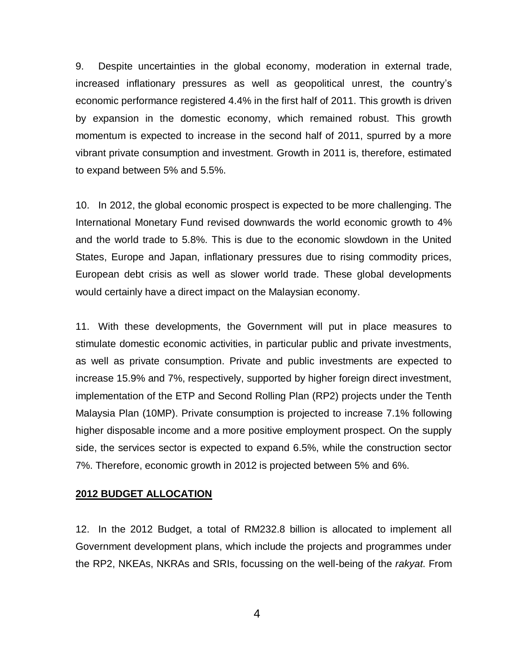9. Despite uncertainties in the global economy, moderation in external trade, increased inflationary pressures as well as geopolitical unrest, the country's economic performance registered 4.4% in the first half of 2011. This growth is driven by expansion in the domestic economy, which remained robust. This growth momentum is expected to increase in the second half of 2011, spurred by a more vibrant private consumption and investment. Growth in 2011 is, therefore, estimated to expand between 5% and 5.5%.

10. In 2012, the global economic prospect is expected to be more challenging. The International Monetary Fund revised downwards the world economic growth to 4% and the world trade to 5.8%. This is due to the economic slowdown in the United States, Europe and Japan, inflationary pressures due to rising commodity prices, European debt crisis as well as slower world trade. These global developments would certainly have a direct impact on the Malaysian economy.

11. With these developments, the Government will put in place measures to stimulate domestic economic activities, in particular public and private investments, as well as private consumption. Private and public investments are expected to increase 15.9% and 7%, respectively, supported by higher foreign direct investment, implementation of the ETP and Second Rolling Plan (RP2) projects under the Tenth Malaysia Plan (10MP). Private consumption is projected to increase 7.1% following higher disposable income and a more positive employment prospect. On the supply side, the services sector is expected to expand 6.5%, while the construction sector 7%. Therefore, economic growth in 2012 is projected between 5% and 6%.

#### **2012 BUDGET ALLOCATION**

12. In the 2012 Budget, a total of RM232.8 billion is allocated to implement all Government development plans, which include the projects and programmes under the RP2, NKEAs, NKRAs and SRIs, focussing on the well-being of the *rakyat*. From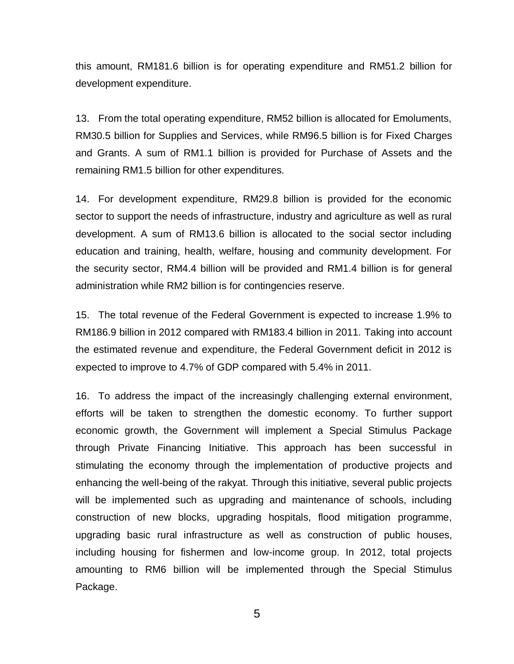this amount, RM181.6 billion is for operating expenditure and RM51.2 billion for development expenditure.

13. From the total operating expenditure, RM52 billion is allocated for Emoluments, RM30.5 billion for Supplies and Services, while RM96.5 billion is for Fixed Charges and Grants. A sum of RM1.1 billion is provided for Purchase of Assets and the remaining RM1.5 billion for other expenditures.

14. For development expenditure, RM29.8 billion is provided for the economic sector to support the needs of infrastructure, industry and agriculture as well as rural development. A sum of RM13.6 billion is allocated to the social sector including education and training, health, welfare, housing and community development. For the security sector, RM4.4 billion will be provided and RM1.4 billion is for general administration while RM2 billion is for contingencies reserve.

15. The total revenue of the Federal Government is expected to increase 1.9% to RM186.9 billion in 2012 compared with RM183.4 billion in 2011. Taking into account the estimated revenue and expenditure, the Federal Government deficit in 2012 is expected to improve to 4.7% of GDP compared with 5.4% in 2011.

16. To address the impact of the increasingly challenging external environment, efforts will be taken to strengthen the domestic economy. To further support economic growth, the Government will implement a Special Stimulus Package through Private Financing Initiative. This approach has been successful in stimulating the economy through the implementation of productive projects and enhancing the well-being of the rakyat. Through this initiative, several public projects will be implemented such as upgrading and maintenance of schools, including construction of new blocks, upgrading hospitals, flood mitigation programme, upgrading basic rural infrastructure as well as construction of public houses, including housing for fishermen and low-income group. In 2012, total projects amounting to RM6 billion will be implemented through the Special Stimulus Package.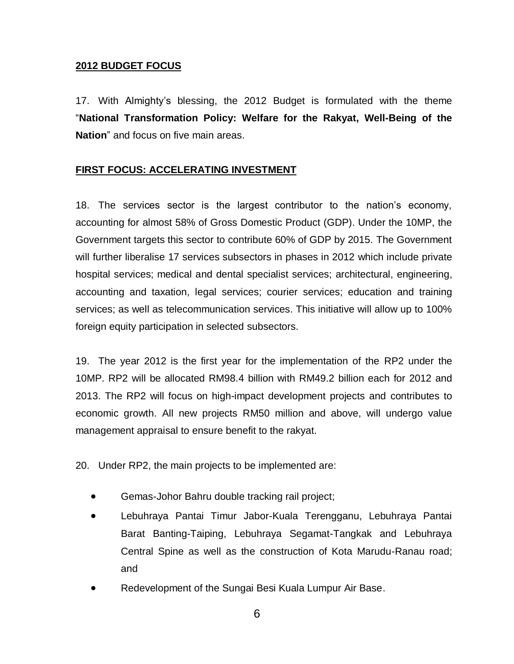#### **2012 BUDGET FOCUS**

17. With Almighty's blessing, the 2012 Budget is formulated with the theme "**National Transformation Policy: Welfare for the Rakyat, Well-Being of the Nation**" and focus on five main areas.

### **FIRST FOCUS: ACCELERATING INVESTMENT**

18. The services sector is the largest contributor to the nation's economy, accounting for almost 58% of Gross Domestic Product (GDP). Under the 10MP, the Government targets this sector to contribute 60% of GDP by 2015. The Government will further liberalise 17 services subsectors in phases in 2012 which include private hospital services; medical and dental specialist services; architectural, engineering, accounting and taxation, legal services; courier services; education and training services; as well as telecommunication services. This initiative will allow up to 100% foreign equity participation in selected subsectors.

19. The year 2012 is the first year for the implementation of the RP2 under the 10MP. RP2 will be allocated RM98.4 billion with RM49.2 billion each for 2012 and 2013. The RP2 will focus on high-impact development projects and contributes to economic growth. All new projects RM50 million and above, will undergo value management appraisal to ensure benefit to the rakyat.

20. Under RP2, the main projects to be implemented are:

- Gemas-Johor Bahru double tracking rail project;
- Lebuhraya Pantai Timur Jabor-Kuala Terengganu, Lebuhraya Pantai Barat Banting-Taiping, Lebuhraya Segamat-Tangkak and Lebuhraya Central Spine as well as the construction of Kota Marudu-Ranau road; and
- Redevelopment of the Sungai Besi Kuala Lumpur Air Base.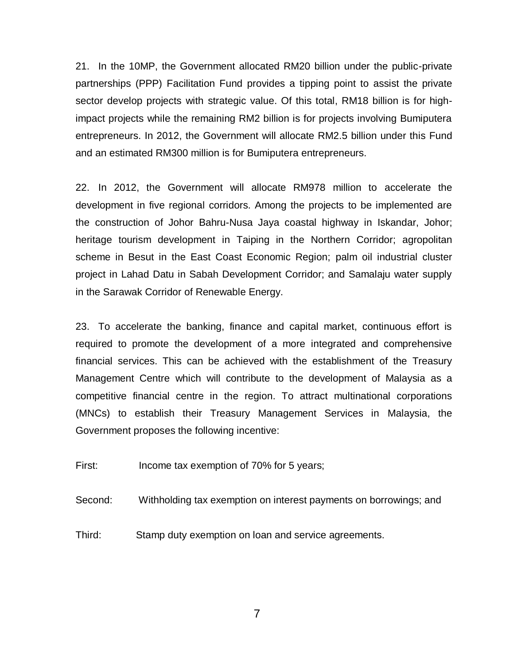21. In the 10MP, the Government allocated RM20 billion under the public-private partnerships (PPP) Facilitation Fund provides a tipping point to assist the private sector develop projects with strategic value. Of this total, RM18 billion is for highimpact projects while the remaining RM2 billion is for projects involving Bumiputera entrepreneurs. In 2012, the Government will allocate RM2.5 billion under this Fund and an estimated RM300 million is for Bumiputera entrepreneurs.

22. In 2012, the Government will allocate RM978 million to accelerate the development in five regional corridors. Among the projects to be implemented are the construction of Johor Bahru-Nusa Jaya coastal highway in Iskandar, Johor; heritage tourism development in Taiping in the Northern Corridor; agropolitan scheme in Besut in the East Coast Economic Region; palm oil industrial cluster project in Lahad Datu in Sabah Development Corridor; and Samalaju water supply in the Sarawak Corridor of Renewable Energy.

23. To accelerate the banking, finance and capital market, continuous effort is required to promote the development of a more integrated and comprehensive financial services. This can be achieved with the establishment of the Treasury Management Centre which will contribute to the development of Malaysia as a competitive financial centre in the region. To attract multinational corporations (MNCs) to establish their Treasury Management Services in Malaysia, the Government proposes the following incentive:

First: Income tax exemption of 70% for 5 years;

Second: Withholding tax exemption on interest payments on borrowings; and

Third: Stamp duty exemption on loan and service agreements.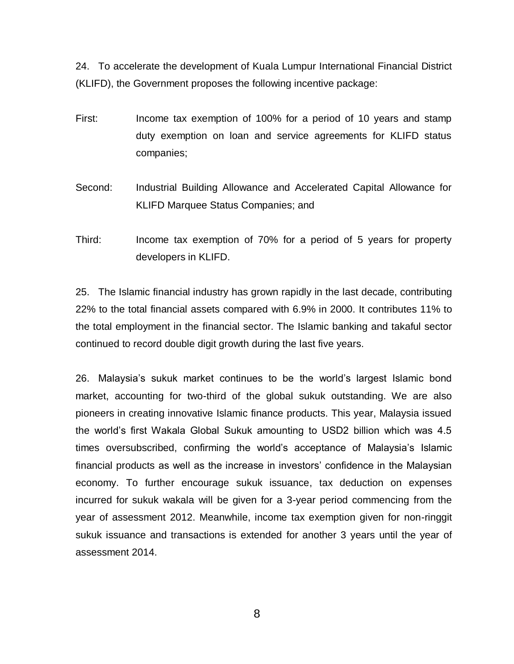24. To accelerate the development of Kuala Lumpur International Financial District (KLIFD), the Government proposes the following incentive package:

- First: Income tax exemption of 100% for a period of 10 years and stamp duty exemption on loan and service agreements for KLIFD status companies;
- Second: Industrial Building Allowance and Accelerated Capital Allowance for KLIFD Marquee Status Companies; and
- Third: Income tax exemption of 70% for a period of 5 years for property developers in KLIFD.

25. The Islamic financial industry has grown rapidly in the last decade, contributing 22% to the total financial assets compared with 6.9% in 2000. It contributes 11% to the total employment in the financial sector. The Islamic banking and takaful sector continued to record double digit growth during the last five years.

26. Malaysia's sukuk market continues to be the world's largest Islamic bond market, accounting for two-third of the global sukuk outstanding. We are also pioneers in creating innovative Islamic finance products. This year, Malaysia issued the world's first Wakala Global Sukuk amounting to USD2 billion which was 4.5 times oversubscribed, confirming the world's acceptance of Malaysia's Islamic financial products as well as the increase in investors' confidence in the Malaysian economy. To further encourage sukuk issuance, tax deduction on expenses incurred for sukuk wakala will be given for a 3-year period commencing from the year of assessment 2012. Meanwhile, income tax exemption given for non-ringgit sukuk issuance and transactions is extended for another 3 years until the year of assessment 2014.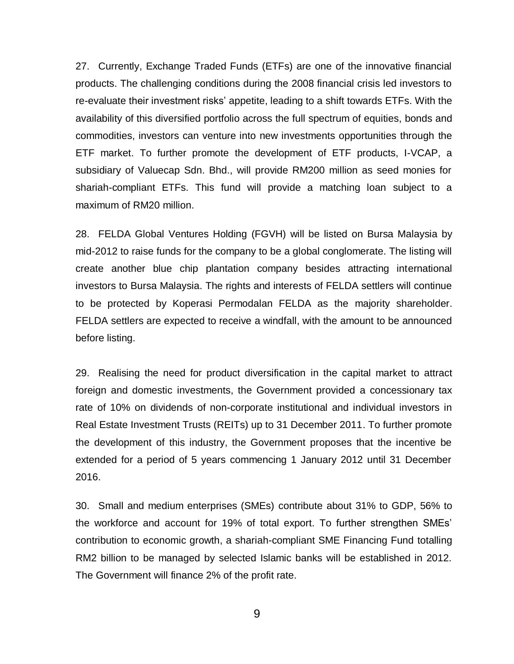27. Currently, Exchange Traded Funds (ETFs) are one of the innovative financial products. The challenging conditions during the 2008 financial crisis led investors to re-evaluate their investment risks' appetite, leading to a shift towards ETFs. With the availability of this diversified portfolio across the full spectrum of equities, bonds and commodities, investors can venture into new investments opportunities through the ETF market. To further promote the development of ETF products, I-VCAP, a subsidiary of Valuecap Sdn. Bhd., will provide RM200 million as seed monies for shariah-compliant ETFs. This fund will provide a matching loan subject to a maximum of RM20 million.

28. FELDA Global Ventures Holding (FGVH) will be listed on Bursa Malaysia by mid-2012 to raise funds for the company to be a global conglomerate. The listing will create another blue chip plantation company besides attracting international investors to Bursa Malaysia. The rights and interests of FELDA settlers will continue to be protected by Koperasi Permodalan FELDA as the majority shareholder. FELDA settlers are expected to receive a windfall, with the amount to be announced before listing.

29. Realising the need for product diversification in the capital market to attract foreign and domestic investments, the Government provided a concessionary tax rate of 10% on dividends of non-corporate institutional and individual investors in Real Estate Investment Trusts (REITs) up to 31 December 2011. To further promote the development of this industry, the Government proposes that the incentive be extended for a period of 5 years commencing 1 January 2012 until 31 December 2016.

30. Small and medium enterprises (SMEs) contribute about 31% to GDP, 56% to the workforce and account for 19% of total export. To further strengthen SMEs' contribution to economic growth, a shariah-compliant SME Financing Fund totalling RM2 billion to be managed by selected Islamic banks will be established in 2012. The Government will finance 2% of the profit rate.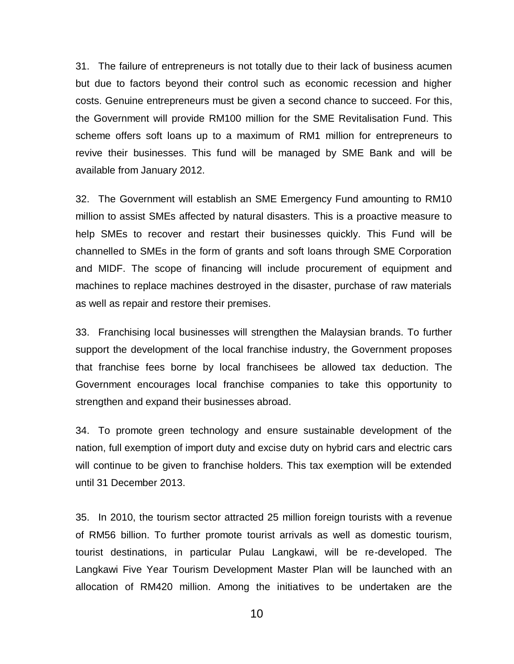31. The failure of entrepreneurs is not totally due to their lack of business acumen but due to factors beyond their control such as economic recession and higher costs. Genuine entrepreneurs must be given a second chance to succeed. For this, the Government will provide RM100 million for the SME Revitalisation Fund. This scheme offers soft loans up to a maximum of RM1 million for entrepreneurs to revive their businesses. This fund will be managed by SME Bank and will be available from January 2012.

32. The Government will establish an SME Emergency Fund amounting to RM10 million to assist SMEs affected by natural disasters. This is a proactive measure to help SMEs to recover and restart their businesses quickly. This Fund will be channelled to SMEs in the form of grants and soft loans through SME Corporation and MIDF. The scope of financing will include procurement of equipment and machines to replace machines destroyed in the disaster, purchase of raw materials as well as repair and restore their premises.

33. Franchising local businesses will strengthen the Malaysian brands. To further support the development of the local franchise industry, the Government proposes that franchise fees borne by local franchisees be allowed tax deduction. The Government encourages local franchise companies to take this opportunity to strengthen and expand their businesses abroad.

34. To promote green technology and ensure sustainable development of the nation, full exemption of import duty and excise duty on hybrid cars and electric cars will continue to be given to franchise holders. This tax exemption will be extended until 31 December 2013.

35. In 2010, the tourism sector attracted 25 million foreign tourists with a revenue of RM56 billion. To further promote tourist arrivals as well as domestic tourism, tourist destinations, in particular Pulau Langkawi, will be re-developed. The Langkawi Five Year Tourism Development Master Plan will be launched with an allocation of RM420 million. Among the initiatives to be undertaken are the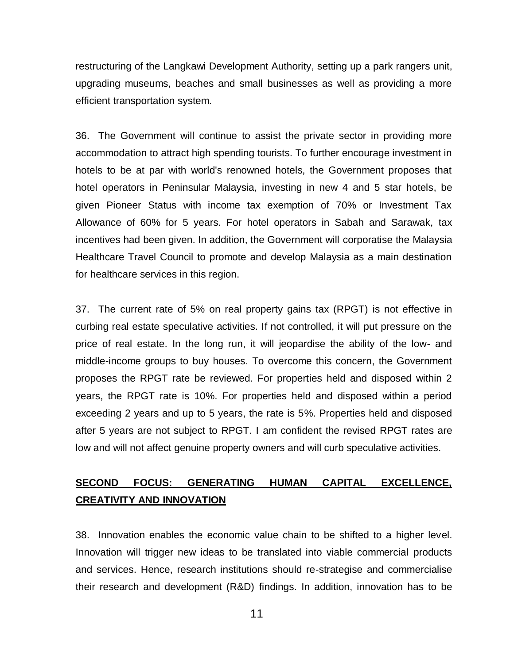restructuring of the Langkawi Development Authority, setting up a park rangers unit, upgrading museums, beaches and small businesses as well as providing a more efficient transportation system.

36. The Government will continue to assist the private sector in providing more accommodation to attract high spending tourists. To further encourage investment in hotels to be at par with world's renowned hotels, the Government proposes that hotel operators in Peninsular Malaysia, investing in new 4 and 5 star hotels, be given Pioneer Status with income tax exemption of 70% or Investment Tax Allowance of 60% for 5 years. For hotel operators in Sabah and Sarawak, tax incentives had been given. In addition, the Government will corporatise the Malaysia Healthcare Travel Council to promote and develop Malaysia as a main destination for healthcare services in this region.

37. The current rate of 5% on real property gains tax (RPGT) is not effective in curbing real estate speculative activities. If not controlled, it will put pressure on the price of real estate. In the long run, it will jeopardise the ability of the low- and middle-income groups to buy houses. To overcome this concern, the Government proposes the RPGT rate be reviewed. For properties held and disposed within 2 years, the RPGT rate is 10%. For properties held and disposed within a period exceeding 2 years and up to 5 years, the rate is 5%. Properties held and disposed after 5 years are not subject to RPGT. I am confident the revised RPGT rates are low and will not affect genuine property owners and will curb speculative activities.

### **SECOND FOCUS: GENERATING HUMAN CAPITAL EXCELLENCE, CREATIVITY AND INNOVATION**

38. Innovation enables the economic value chain to be shifted to a higher level. Innovation will trigger new ideas to be translated into viable commercial products and services. Hence, research institutions should re-strategise and commercialise their research and development (R&D) findings. In addition, innovation has to be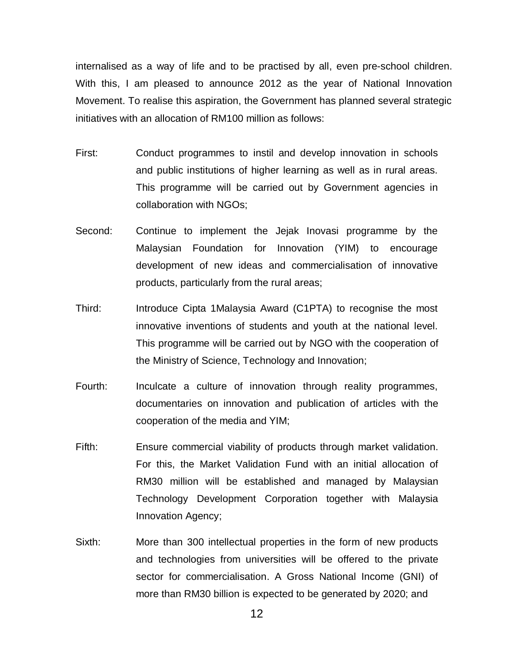internalised as a way of life and to be practised by all, even pre-school children. With this, I am pleased to announce 2012 as the year of National Innovation Movement. To realise this aspiration, the Government has planned several strategic initiatives with an allocation of RM100 million as follows:

- First: Conduct programmes to instil and develop innovation in schools and public institutions of higher learning as well as in rural areas. This programme will be carried out by Government agencies in collaboration with NGOs;
- Second: Continue to implement the Jejak Inovasi programme by the Malaysian Foundation for Innovation (YIM) to encourage development of new ideas and commercialisation of innovative products, particularly from the rural areas;
- Third: Introduce Cipta 1Malaysia Award (C1PTA) to recognise the most innovative inventions of students and youth at the national level. This programme will be carried out by NGO with the cooperation of the Ministry of Science, Technology and Innovation;
- Fourth: Inculcate a culture of innovation through reality programmes, documentaries on innovation and publication of articles with the cooperation of the media and YIM;
- Fifth: Ensure commercial viability of products through market validation. For this, the Market Validation Fund with an initial allocation of RM30 million will be established and managed by Malaysian Technology Development Corporation together with Malaysia Innovation Agency;
- Sixth: More than 300 intellectual properties in the form of new products and technologies from universities will be offered to the private sector for commercialisation. A Gross National Income (GNI) of more than RM30 billion is expected to be generated by 2020; and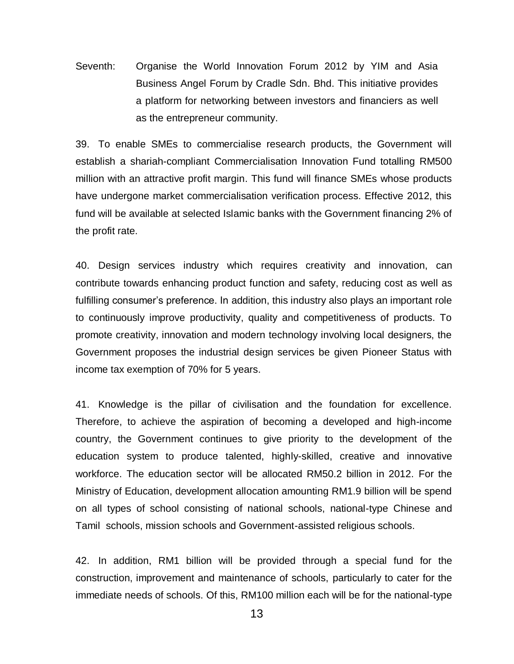Seventh: Organise the World Innovation Forum 2012 by YIM and Asia Business Angel Forum by Cradle Sdn. Bhd. This initiative provides a platform for networking between investors and financiers as well as the entrepreneur community.

39. To enable SMEs to commercialise research products, the Government will establish a shariah-compliant Commercialisation Innovation Fund totalling RM500 million with an attractive profit margin. This fund will finance SMEs whose products have undergone market commercialisation verification process. Effective 2012, this fund will be available at selected Islamic banks with the Government financing 2% of the profit rate.

40. Design services industry which requires creativity and innovation, can contribute towards enhancing product function and safety, reducing cost as well as fulfilling consumer's preference. In addition, this industry also plays an important role to continuously improve productivity, quality and competitiveness of products. To promote creativity, innovation and modern technology involving local designers, the Government proposes the industrial design services be given Pioneer Status with income tax exemption of 70% for 5 years.

41. Knowledge is the pillar of civilisation and the foundation for excellence. Therefore, to achieve the aspiration of becoming a developed and high-income country, the Government continues to give priority to the development of the education system to produce talented, highly-skilled, creative and innovative workforce. The education sector will be allocated RM50.2 billion in 2012. For the Ministry of Education, development allocation amounting RM1.9 billion will be spend on all types of school consisting of national schools, national-type Chinese and Tamil schools, mission schools and Government-assisted religious schools.

42. In addition, RM1 billion will be provided through a special fund for the construction, improvement and maintenance of schools, particularly to cater for the immediate needs of schools. Of this, RM100 million each will be for the national-type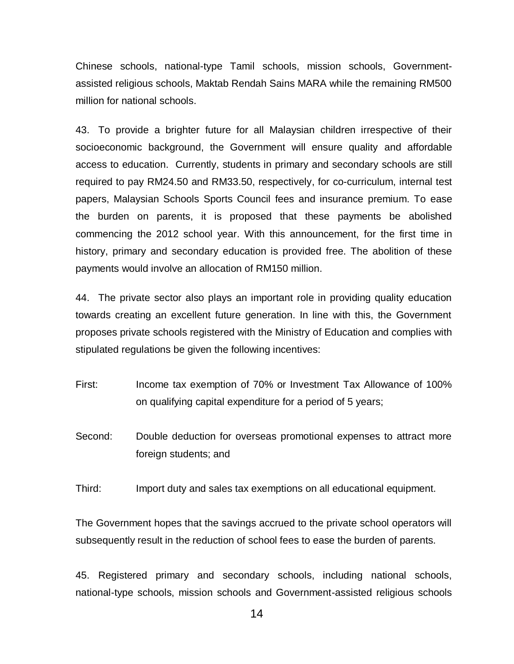Chinese schools, national-type Tamil schools, mission schools, Governmentassisted religious schools, Maktab Rendah Sains MARA while the remaining RM500 million for national schools.

43. To provide a brighter future for all Malaysian children irrespective of their socioeconomic background, the Government will ensure quality and affordable access to education. Currently, students in primary and secondary schools are still required to pay RM24.50 and RM33.50, respectively, for co-curriculum, internal test papers, Malaysian Schools Sports Council fees and insurance premium. To ease the burden on parents, it is proposed that these payments be abolished commencing the 2012 school year. With this announcement, for the first time in history, primary and secondary education is provided free. The abolition of these payments would involve an allocation of RM150 million.

44. The private sector also plays an important role in providing quality education towards creating an excellent future generation. In line with this, the Government proposes private schools registered with the Ministry of Education and complies with stipulated regulations be given the following incentives:

- First: Income tax exemption of 70% or Investment Tax Allowance of 100% on qualifying capital expenditure for a period of 5 years;
- Second: Double deduction for overseas promotional expenses to attract more foreign students; and

Third: Import duty and sales tax exemptions on all educational equipment.

The Government hopes that the savings accrued to the private school operators will subsequently result in the reduction of school fees to ease the burden of parents.

45. Registered primary and secondary schools, including national schools, national-type schools, mission schools and Government-assisted religious schools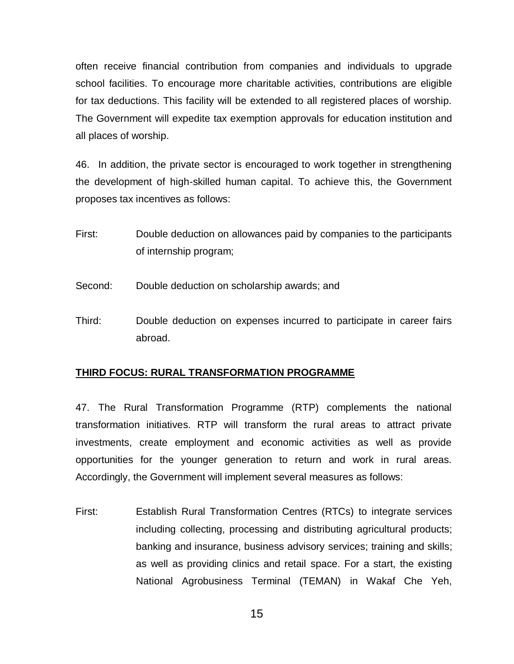often receive financial contribution from companies and individuals to upgrade school facilities. To encourage more charitable activities, contributions are eligible for tax deductions. This facility will be extended to all registered places of worship. The Government will expedite tax exemption approvals for education institution and all places of worship.

46. In addition, the private sector is encouraged to work together in strengthening the development of high-skilled human capital. To achieve this, the Government proposes tax incentives as follows:

- First: Double deduction on allowances paid by companies to the participants of internship program;
- Second: Double deduction on scholarship awards; and
- Third: Double deduction on expenses incurred to participate in career fairs abroad.

#### **THIRD FOCUS: RURAL TRANSFORMATION PROGRAMME**

47. The Rural Transformation Programme (RTP) complements the national transformation initiatives. RTP will transform the rural areas to attract private investments, create employment and economic activities as well as provide opportunities for the younger generation to return and work in rural areas. Accordingly, the Government will implement several measures as follows:

First: Establish Rural Transformation Centres (RTCs) to integrate services including collecting, processing and distributing agricultural products; banking and insurance, business advisory services; training and skills; as well as providing clinics and retail space. For a start, the existing National Agrobusiness Terminal (TEMAN) in Wakaf Che Yeh,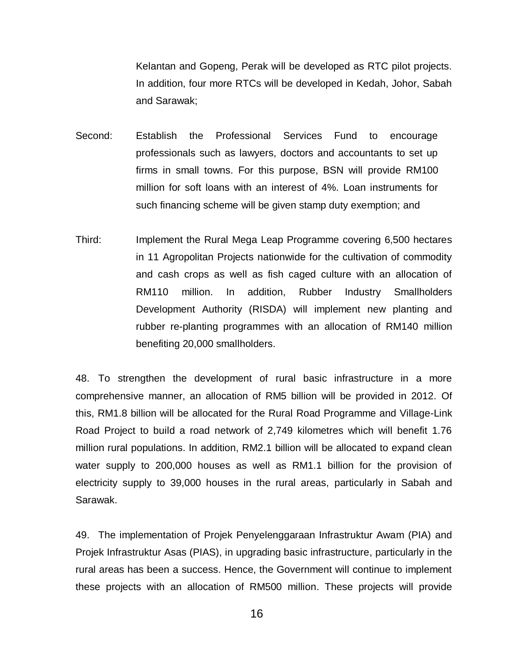Kelantan and Gopeng, Perak will be developed as RTC pilot projects. In addition, four more RTCs will be developed in Kedah, Johor, Sabah and Sarawak;

Second: Establish the Professional Services Fund to encourage professionals such as lawyers, doctors and accountants to set up firms in small towns. For this purpose, BSN will provide RM100 million for soft loans with an interest of 4%. Loan instruments for such financing scheme will be given stamp duty exemption; and

Third: Implement the Rural Mega Leap Programme covering 6,500 hectares in 11 Agropolitan Projects nationwide for the cultivation of commodity and cash crops as well as fish caged culture with an allocation of RM110 million. In addition, Rubber Industry Smallholders Development Authority (RISDA) will implement new planting and rubber re-planting programmes with an allocation of RM140 million benefiting 20,000 smallholders.

48. To strengthen the development of rural basic infrastructure in a more comprehensive manner, an allocation of RM5 billion will be provided in 2012. Of this, RM1.8 billion will be allocated for the Rural Road Programme and Village-Link Road Project to build a road network of 2,749 kilometres which will benefit 1.76 million rural populations. In addition, RM2.1 billion will be allocated to expand clean water supply to 200,000 houses as well as RM1.1 billion for the provision of electricity supply to 39,000 houses in the rural areas, particularly in Sabah and Sarawak.

49. The implementation of Projek Penyelenggaraan Infrastruktur Awam (PIA) and Projek Infrastruktur Asas (PIAS), in upgrading basic infrastructure, particularly in the rural areas has been a success. Hence, the Government will continue to implement these projects with an allocation of RM500 million. These projects will provide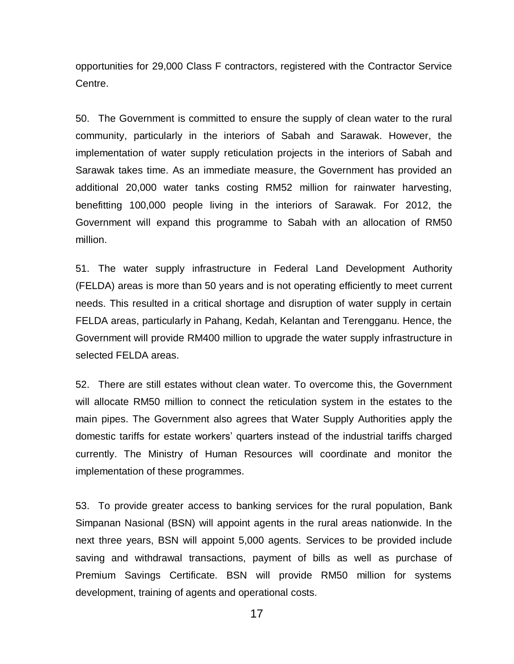opportunities for 29,000 Class F contractors, registered with the Contractor Service Centre.

50. The Government is committed to ensure the supply of clean water to the rural community, particularly in the interiors of Sabah and Sarawak. However, the implementation of water supply reticulation projects in the interiors of Sabah and Sarawak takes time. As an immediate measure, the Government has provided an additional 20,000 water tanks costing RM52 million for rainwater harvesting, benefitting 100,000 people living in the interiors of Sarawak. For 2012, the Government will expand this programme to Sabah with an allocation of RM50 million.

51. The water supply infrastructure in Federal Land Development Authority (FELDA) areas is more than 50 years and is not operating efficiently to meet current needs. This resulted in a critical shortage and disruption of water supply in certain FELDA areas, particularly in Pahang, Kedah, Kelantan and Terengganu. Hence, the Government will provide RM400 million to upgrade the water supply infrastructure in selected FELDA areas.

52. There are still estates without clean water. To overcome this, the Government will allocate RM50 million to connect the reticulation system in the estates to the main pipes. The Government also agrees that Water Supply Authorities apply the domestic tariffs for estate workers' quarters instead of the industrial tariffs charged currently. The Ministry of Human Resources will coordinate and monitor the implementation of these programmes.

53. To provide greater access to banking services for the rural population, Bank Simpanan Nasional (BSN) will appoint agents in the rural areas nationwide. In the next three years, BSN will appoint 5,000 agents. Services to be provided include saving and withdrawal transactions, payment of bills as well as purchase of Premium Savings Certificate. BSN will provide RM50 million for systems development, training of agents and operational costs.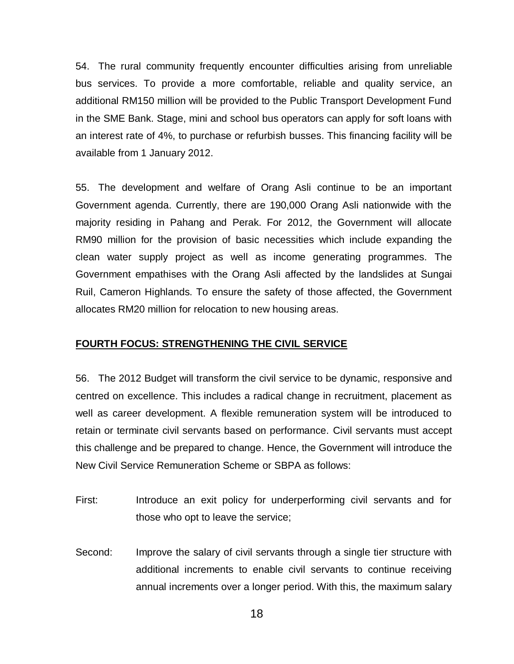54. The rural community frequently encounter difficulties arising from unreliable bus services. To provide a more comfortable, reliable and quality service, an additional RM150 million will be provided to the Public Transport Development Fund in the SME Bank. Stage, mini and school bus operators can apply for soft loans with an interest rate of 4%, to purchase or refurbish busses. This financing facility will be available from 1 January 2012.

55. The development and welfare of Orang Asli continue to be an important Government agenda. Currently, there are 190,000 Orang Asli nationwide with the majority residing in Pahang and Perak. For 2012, the Government will allocate RM90 million for the provision of basic necessities which include expanding the clean water supply project as well as income generating programmes. The Government empathises with the Orang Asli affected by the landslides at Sungai Ruil, Cameron Highlands. To ensure the safety of those affected, the Government allocates RM20 million for relocation to new housing areas.

#### **FOURTH FOCUS: STRENGTHENING THE CIVIL SERVICE**

56. The 2012 Budget will transform the civil service to be dynamic, responsive and centred on excellence. This includes a radical change in recruitment, placement as well as career development. A flexible remuneration system will be introduced to retain or terminate civil servants based on performance. Civil servants must accept this challenge and be prepared to change. Hence, the Government will introduce the New Civil Service Remuneration Scheme or SBPA as follows:

- First: Introduce an exit policy for underperforming civil servants and for those who opt to leave the service;
- Second: Improve the salary of civil servants through a single tier structure with additional increments to enable civil servants to continue receiving annual increments over a longer period. With this, the maximum salary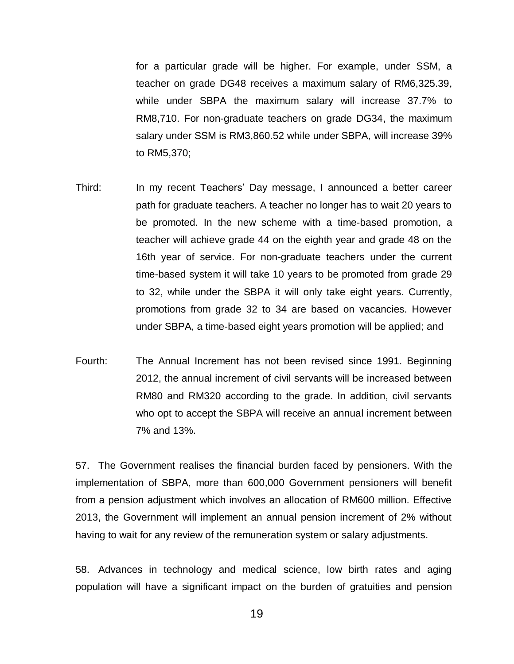for a particular grade will be higher. For example, under SSM, a teacher on grade DG48 receives a maximum salary of RM6,325.39, while under SBPA the maximum salary will increase 37.7% to RM8,710. For non-graduate teachers on grade DG34, the maximum salary under SSM is RM3,860.52 while under SBPA, will increase 39% to RM5,370;

- Third: In my recent Teachers' Day message, I announced a better career path for graduate teachers. A teacher no longer has to wait 20 years to be promoted. In the new scheme with a time-based promotion, a teacher will achieve grade 44 on the eighth year and grade 48 on the 16th year of service. For non-graduate teachers under the current time-based system it will take 10 years to be promoted from grade 29 to 32, while under the SBPA it will only take eight years. Currently, promotions from grade 32 to 34 are based on vacancies. However under SBPA, a time-based eight years promotion will be applied; and
- Fourth: The Annual Increment has not been revised since 1991. Beginning 2012, the annual increment of civil servants will be increased between RM80 and RM320 according to the grade. In addition, civil servants who opt to accept the SBPA will receive an annual increment between 7% and 13%.

57. The Government realises the financial burden faced by pensioners. With the implementation of SBPA, more than 600,000 Government pensioners will benefit from a pension adjustment which involves an allocation of RM600 million. Effective 2013, the Government will implement an annual pension increment of 2% without having to wait for any review of the remuneration system or salary adjustments.

58. Advances in technology and medical science, low birth rates and aging population will have a significant impact on the burden of gratuities and pension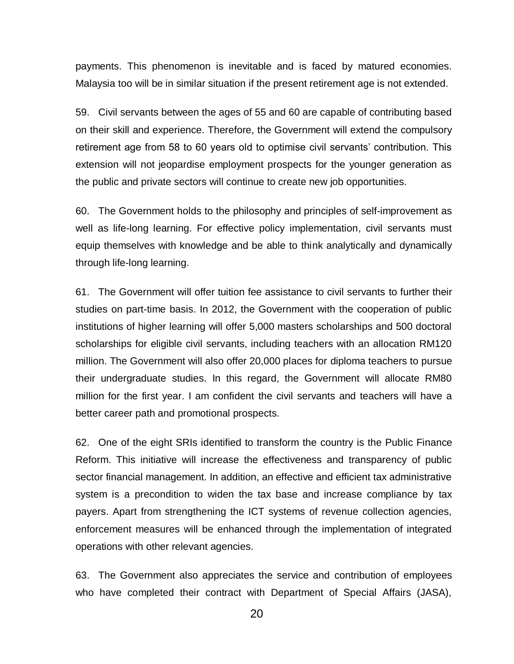payments. This phenomenon is inevitable and is faced by matured economies. Malaysia too will be in similar situation if the present retirement age is not extended.

59. Civil servants between the ages of 55 and 60 are capable of contributing based on their skill and experience. Therefore, the Government will extend the compulsory retirement age from 58 to 60 years old to optimise civil servants' contribution. This extension will not jeopardise employment prospects for the younger generation as the public and private sectors will continue to create new job opportunities.

60. The Government holds to the philosophy and principles of self-improvement as well as life-long learning. For effective policy implementation, civil servants must equip themselves with knowledge and be able to think analytically and dynamically through life-long learning.

61. The Government will offer tuition fee assistance to civil servants to further their studies on part-time basis. In 2012, the Government with the cooperation of public institutions of higher learning will offer 5,000 masters scholarships and 500 doctoral scholarships for eligible civil servants, including teachers with an allocation RM120 million. The Government will also offer 20,000 places for diploma teachers to pursue their undergraduate studies. In this regard, the Government will allocate RM80 million for the first year. I am confident the civil servants and teachers will have a better career path and promotional prospects.

62. One of the eight SRIs identified to transform the country is the Public Finance Reform. This initiative will increase the effectiveness and transparency of public sector financial management. In addition, an effective and efficient tax administrative system is a precondition to widen the tax base and increase compliance by tax payers. Apart from strengthening the ICT systems of revenue collection agencies, enforcement measures will be enhanced through the implementation of integrated operations with other relevant agencies.

63. The Government also appreciates the service and contribution of employees who have completed their contract with Department of Special Affairs (JASA),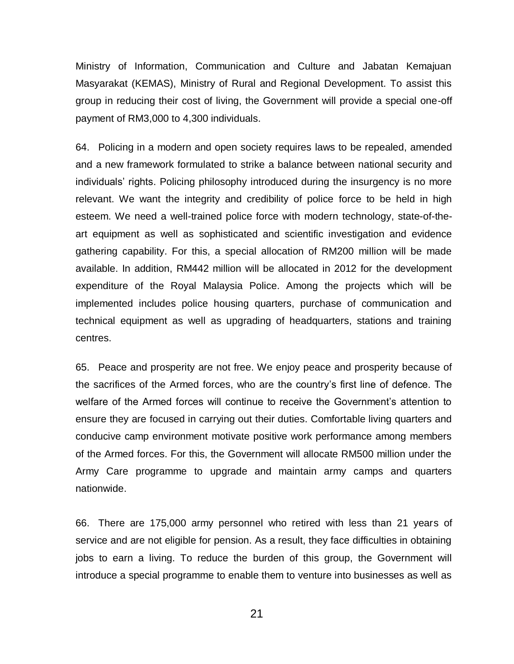Ministry of Information, Communication and Culture and Jabatan Kemajuan Masyarakat (KEMAS), Ministry of Rural and Regional Development. To assist this group in reducing their cost of living, the Government will provide a special one-off payment of RM3,000 to 4,300 individuals.

64. Policing in a modern and open society requires laws to be repealed, amended and a new framework formulated to strike a balance between national security and individuals' rights. Policing philosophy introduced during the insurgency is no more relevant. We want the integrity and credibility of police force to be held in high esteem. We need a well-trained police force with modern technology, state-of-theart equipment as well as sophisticated and scientific investigation and evidence gathering capability. For this, a special allocation of RM200 million will be made available. In addition, RM442 million will be allocated in 2012 for the development expenditure of the Royal Malaysia Police. Among the projects which will be implemented includes police housing quarters, purchase of communication and technical equipment as well as upgrading of headquarters, stations and training centres.

65. Peace and prosperity are not free. We enjoy peace and prosperity because of the sacrifices of the Armed forces, who are the country's first line of defence. The welfare of the Armed forces will continue to receive the Government's attention to ensure they are focused in carrying out their duties. Comfortable living quarters and conducive camp environment motivate positive work performance among members of the Armed forces. For this, the Government will allocate RM500 million under the Army Care programme to upgrade and maintain army camps and quarters nationwide.

66. There are 175,000 army personnel who retired with less than 21 years of service and are not eligible for pension. As a result, they face difficulties in obtaining jobs to earn a living. To reduce the burden of this group, the Government will introduce a special programme to enable them to venture into businesses as well as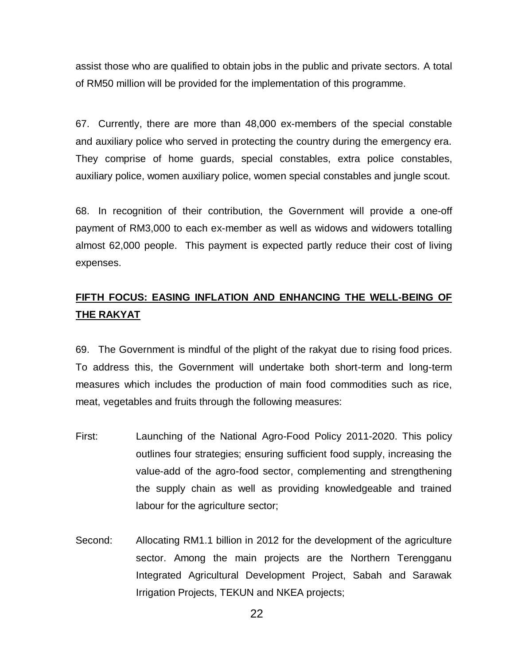assist those who are qualified to obtain jobs in the public and private sectors. A total of RM50 million will be provided for the implementation of this programme.

67. Currently, there are more than 48,000 ex-members of the special constable and auxiliary police who served in protecting the country during the emergency era. They comprise of home guards, special constables, extra police constables, auxiliary police, women auxiliary police, women special constables and jungle scout.

68. In recognition of their contribution, the Government will provide a one-off payment of RM3,000 to each ex-member as well as widows and widowers totalling almost 62,000 people. This payment is expected partly reduce their cost of living expenses.

### **FIFTH FOCUS: EASING INFLATION AND ENHANCING THE WELL-BEING OF THE RAKYAT**

69. The Government is mindful of the plight of the rakyat due to rising food prices. To address this, the Government will undertake both short-term and long-term measures which includes the production of main food commodities such as rice, meat, vegetables and fruits through the following measures:

- First: Launching of the National Agro-Food Policy 2011-2020. This policy outlines four strategies; ensuring sufficient food supply, increasing the value-add of the agro-food sector, complementing and strengthening the supply chain as well as providing knowledgeable and trained labour for the agriculture sector;
- Second: Allocating RM1.1 billion in 2012 for the development of the agriculture sector. Among the main projects are the Northern Terengganu Integrated Agricultural Development Project, Sabah and Sarawak Irrigation Projects, TEKUN and NKEA projects;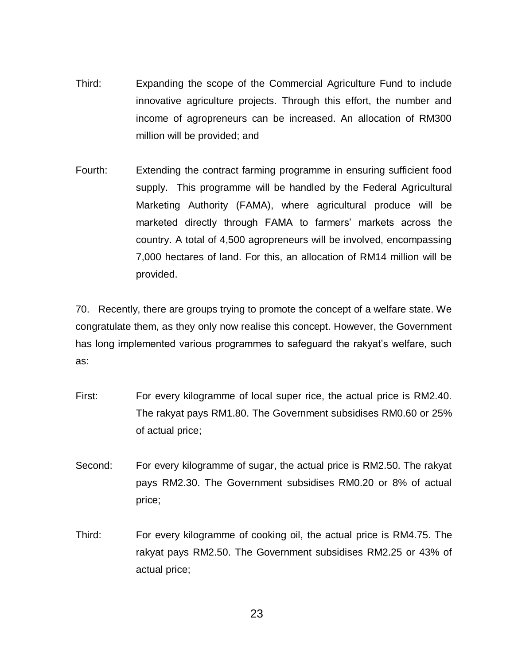- Third: Expanding the scope of the Commercial Agriculture Fund to include innovative agriculture projects. Through this effort, the number and income of agropreneurs can be increased. An allocation of RM300 million will be provided; and
- Fourth: Extending the contract farming programme in ensuring sufficient food supply. This programme will be handled by the Federal Agricultural Marketing Authority (FAMA), where agricultural produce will be marketed directly through FAMA to farmers' markets across the country. A total of 4,500 agropreneurs will be involved, encompassing 7,000 hectares of land. For this, an allocation of RM14 million will be provided.

70. Recently, there are groups trying to promote the concept of a welfare state. We congratulate them, as they only now realise this concept. However, the Government has long implemented various programmes to safeguard the rakyat's welfare, such as:

- First: For every kilogramme of local super rice, the actual price is RM2.40. The rakyat pays RM1.80. The Government subsidises RM0.60 or 25% of actual price;
- Second: For every kilogramme of sugar, the actual price is RM2.50. The rakyat pays RM2.30. The Government subsidises RM0.20 or 8% of actual price;
- Third: For every kilogramme of cooking oil, the actual price is RM4.75. The rakyat pays RM2.50. The Government subsidises RM2.25 or 43% of actual price;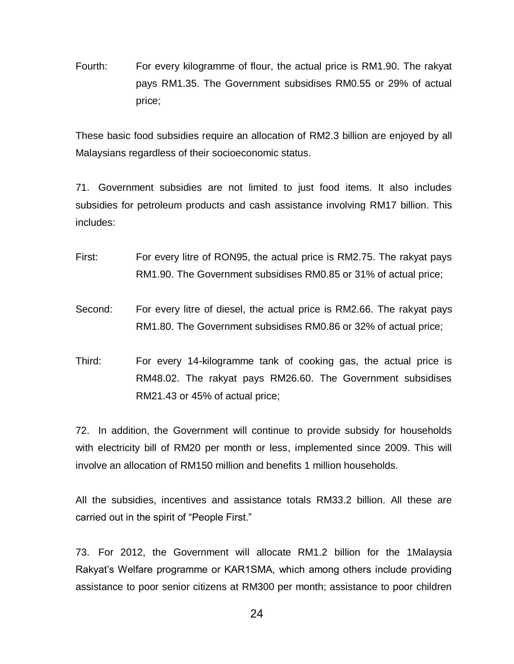Fourth: For every kilogramme of flour, the actual price is RM1.90. The rakyat pays RM1.35. The Government subsidises RM0.55 or 29% of actual price;

These basic food subsidies require an allocation of RM2.3 billion are enjoyed by all Malaysians regardless of their socioeconomic status.

71. Government subsidies are not limited to just food items. It also includes subsidies for petroleum products and cash assistance involving RM17 billion. This includes:

- First: For every litre of RON95, the actual price is RM2.75. The rakyat pays RM1.90. The Government subsidises RM0.85 or 31% of actual price;
- Second: For every litre of diesel, the actual price is RM2.66. The rakyat pays RM1.80. The Government subsidises RM0.86 or 32% of actual price;
- Third: For every 14-kilogramme tank of cooking gas, the actual price is RM48.02. The rakyat pays RM26.60. The Government subsidises RM21.43 or 45% of actual price;

72. In addition, the Government will continue to provide subsidy for households with electricity bill of RM20 per month or less, implemented since 2009. This will involve an allocation of RM150 million and benefits 1 million households.

All the subsidies, incentives and assistance totals RM33.2 billion. All these are carried out in the spirit of "People First."

73. For 2012, the Government will allocate RM1.2 billion for the 1Malaysia Rakyat's Welfare programme or KAR1SMA, which among others include providing assistance to poor senior citizens at RM300 per month; assistance to poor children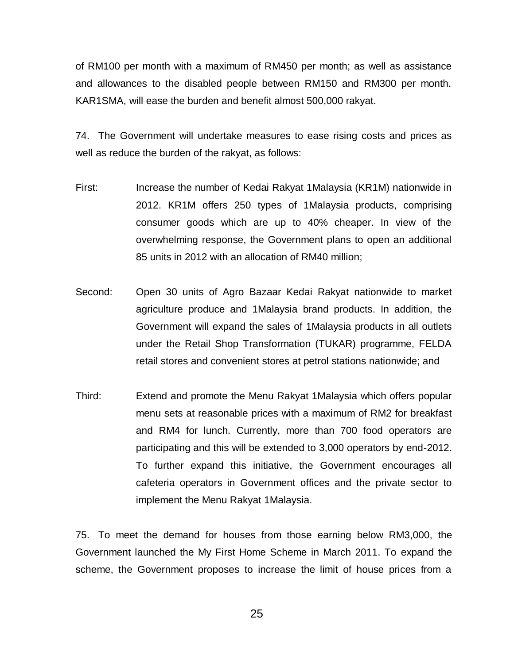of RM100 per month with a maximum of RM450 per month; as well as assistance and allowances to the disabled people between RM150 and RM300 per month. KAR1SMA, will ease the burden and benefit almost 500,000 rakyat.

74. The Government will undertake measures to ease rising costs and prices as well as reduce the burden of the rakyat, as follows:

- First: Increase the number of Kedai Rakyat 1Malaysia (KR1M) nationwide in 2012. KR1M offers 250 types of 1Malaysia products, comprising consumer goods which are up to 40% cheaper. In view of the overwhelming response, the Government plans to open an additional 85 units in 2012 with an allocation of RM40 million;
- Second: Open 30 units of Agro Bazaar Kedai Rakyat nationwide to market agriculture produce and 1Malaysia brand products. In addition, the Government will expand the sales of 1Malaysia products in all outlets under the Retail Shop Transformation (TUKAR) programme, FELDA retail stores and convenient stores at petrol stations nationwide; and
- Third: Extend and promote the Menu Rakyat 1Malaysia which offers popular menu sets at reasonable prices with a maximum of RM2 for breakfast and RM4 for lunch. Currently, more than 700 food operators are participating and this will be extended to 3,000 operators by end-2012. To further expand this initiative, the Government encourages all cafeteria operators in Government offices and the private sector to implement the Menu Rakyat 1Malaysia.

75. To meet the demand for houses from those earning below RM3,000, the Government launched the My First Home Scheme in March 2011. To expand the scheme, the Government proposes to increase the limit of house prices from a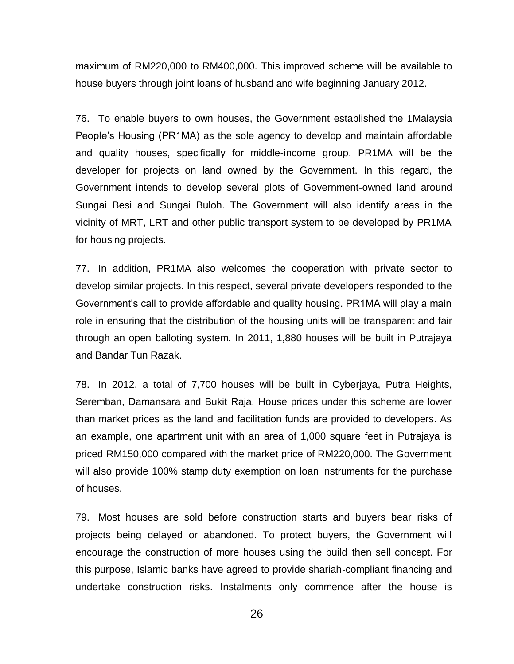maximum of RM220,000 to RM400,000. This improved scheme will be available to house buyers through joint loans of husband and wife beginning January 2012.

76. To enable buyers to own houses, the Government established the 1Malaysia People's Housing (PR1MA) as the sole agency to develop and maintain affordable and quality houses, specifically for middle-income group. PR1MA will be the developer for projects on land owned by the Government. In this regard, the Government intends to develop several plots of Government-owned land around Sungai Besi and Sungai Buloh. The Government will also identify areas in the vicinity of MRT, LRT and other public transport system to be developed by PR1MA for housing projects.

77. In addition, PR1MA also welcomes the cooperation with private sector to develop similar projects. In this respect, several private developers responded to the Government's call to provide affordable and quality housing. PR1MA will play a main role in ensuring that the distribution of the housing units will be transparent and fair through an open balloting system. In 2011, 1,880 houses will be built in Putrajaya and Bandar Tun Razak.

78. In 2012, a total of 7,700 houses will be built in Cyberjaya, Putra Heights, Seremban, Damansara and Bukit Raja. House prices under this scheme are lower than market prices as the land and facilitation funds are provided to developers. As an example, one apartment unit with an area of 1,000 square feet in Putrajaya is priced RM150,000 compared with the market price of RM220,000. The Government will also provide 100% stamp duty exemption on loan instruments for the purchase of houses.

79. Most houses are sold before construction starts and buyers bear risks of projects being delayed or abandoned. To protect buyers, the Government will encourage the construction of more houses using the build then sell concept. For this purpose, Islamic banks have agreed to provide shariah-compliant financing and undertake construction risks. Instalments only commence after the house is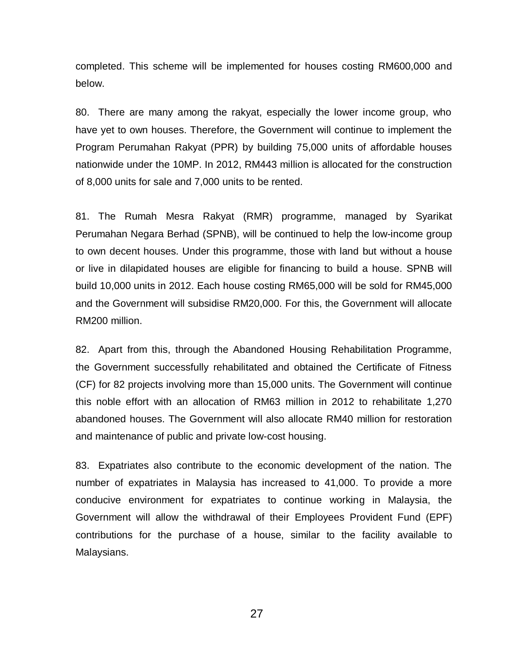completed. This scheme will be implemented for houses costing RM600,000 and below.

80. There are many among the rakyat, especially the lower income group, who have yet to own houses. Therefore, the Government will continue to implement the Program Perumahan Rakyat (PPR) by building 75,000 units of affordable houses nationwide under the 10MP. In 2012, RM443 million is allocated for the construction of 8,000 units for sale and 7,000 units to be rented.

81. The Rumah Mesra Rakyat (RMR) programme, managed by Syarikat Perumahan Negara Berhad (SPNB), will be continued to help the low-income group to own decent houses. Under this programme, those with land but without a house or live in dilapidated houses are eligible for financing to build a house. SPNB will build 10,000 units in 2012. Each house costing RM65,000 will be sold for RM45,000 and the Government will subsidise RM20,000. For this, the Government will allocate RM200 million.

82. Apart from this, through the Abandoned Housing Rehabilitation Programme, the Government successfully rehabilitated and obtained the Certificate of Fitness (CF) for 82 projects involving more than 15,000 units. The Government will continue this noble effort with an allocation of RM63 million in 2012 to rehabilitate 1,270 abandoned houses. The Government will also allocate RM40 million for restoration and maintenance of public and private low-cost housing.

83. Expatriates also contribute to the economic development of the nation. The number of expatriates in Malaysia has increased to 41,000. To provide a more conducive environment for expatriates to continue working in Malaysia, the Government will allow the withdrawal of their Employees Provident Fund (EPF) contributions for the purchase of a house, similar to the facility available to Malaysians.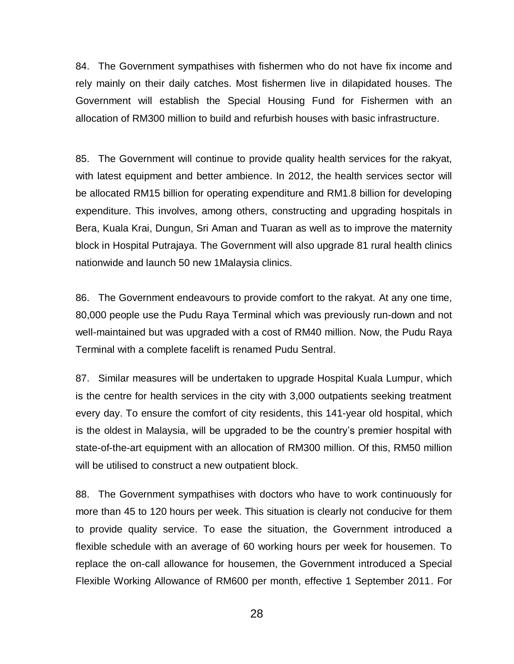84. The Government sympathises with fishermen who do not have fix income and rely mainly on their daily catches. Most fishermen live in dilapidated houses. The Government will establish the Special Housing Fund for Fishermen with an allocation of RM300 million to build and refurbish houses with basic infrastructure.

85. The Government will continue to provide quality health services for the rakyat, with latest equipment and better ambience. In 2012, the health services sector will be allocated RM15 billion for operating expenditure and RM1.8 billion for developing expenditure. This involves, among others, constructing and upgrading hospitals in Bera, Kuala Krai, Dungun, Sri Aman and Tuaran as well as to improve the maternity block in Hospital Putrajaya. The Government will also upgrade 81 rural health clinics nationwide and launch 50 new 1Malaysia clinics.

86. The Government endeavours to provide comfort to the rakyat. At any one time, 80,000 people use the Pudu Raya Terminal which was previously run-down and not well-maintained but was upgraded with a cost of RM40 million. Now, the Pudu Raya Terminal with a complete facelift is renamed Pudu Sentral.

87. Similar measures will be undertaken to upgrade Hospital Kuala Lumpur, which is the centre for health services in the city with 3,000 outpatients seeking treatment every day. To ensure the comfort of city residents, this 141-year old hospital, which is the oldest in Malaysia, will be upgraded to be the country's premier hospital with state-of-the-art equipment with an allocation of RM300 million. Of this, RM50 million will be utilised to construct a new outpatient block.

88. The Government sympathises with doctors who have to work continuously for more than 45 to 120 hours per week. This situation is clearly not conducive for them to provide quality service. To ease the situation, the Government introduced a flexible schedule with an average of 60 working hours per week for housemen. To replace the on-call allowance for housemen, the Government introduced a Special Flexible Working Allowance of RM600 per month, effective 1 September 2011. For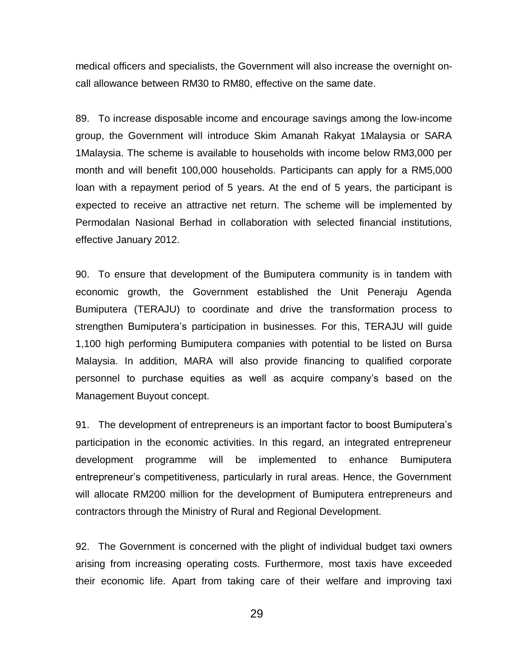medical officers and specialists, the Government will also increase the overnight oncall allowance between RM30 to RM80, effective on the same date.

89. To increase disposable income and encourage savings among the low-income group, the Government will introduce Skim Amanah Rakyat 1Malaysia or SARA 1Malaysia. The scheme is available to households with income below RM3,000 per month and will benefit 100,000 households. Participants can apply for a RM5,000 loan with a repayment period of 5 years. At the end of 5 years, the participant is expected to receive an attractive net return. The scheme will be implemented by Permodalan Nasional Berhad in collaboration with selected financial institutions, effective January 2012.

90. To ensure that development of the Bumiputera community is in tandem with economic growth, the Government established the Unit Peneraju Agenda Bumiputera (TERAJU) to coordinate and drive the transformation process to strengthen Bumiputera's participation in businesses. For this, TERAJU will guide 1,100 high performing Bumiputera companies with potential to be listed on Bursa Malaysia. In addition, MARA will also provide financing to qualified corporate personnel to purchase equities as well as acquire company's based on the Management Buyout concept.

91. The development of entrepreneurs is an important factor to boost Bumiputera's participation in the economic activities. In this regard, an integrated entrepreneur development programme will be implemented to enhance Bumiputera entrepreneur's competitiveness, particularly in rural areas. Hence, the Government will allocate RM200 million for the development of Bumiputera entrepreneurs and contractors through the Ministry of Rural and Regional Development.

92. The Government is concerned with the plight of individual budget taxi owners arising from increasing operating costs. Furthermore, most taxis have exceeded their economic life. Apart from taking care of their welfare and improving taxi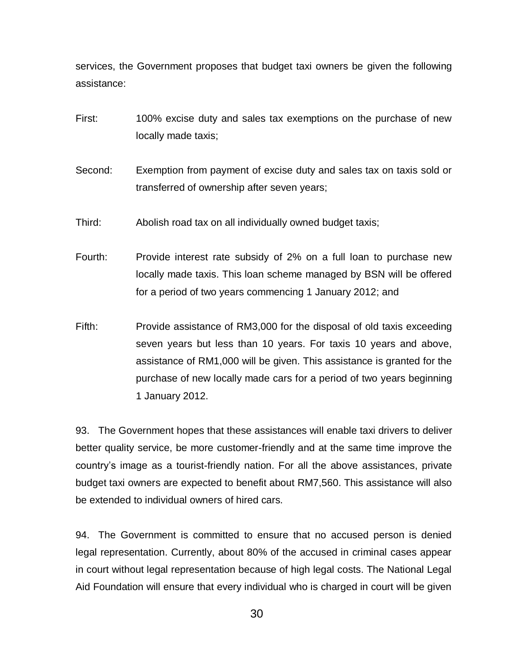services, the Government proposes that budget taxi owners be given the following assistance:

- First: 100% excise duty and sales tax exemptions on the purchase of new locally made taxis;
- Second: Exemption from payment of excise duty and sales tax on taxis sold or transferred of ownership after seven years;
- Third: Abolish road tax on all individually owned budget taxis;
- Fourth: Provide interest rate subsidy of 2% on a full loan to purchase new locally made taxis. This loan scheme managed by BSN will be offered for a period of two years commencing 1 January 2012; and
- Fifth: Provide assistance of RM3,000 for the disposal of old taxis exceeding seven years but less than 10 years. For taxis 10 years and above, assistance of RM1,000 will be given. This assistance is granted for the purchase of new locally made cars for a period of two years beginning 1 January 2012.

93. The Government hopes that these assistances will enable taxi drivers to deliver better quality service, be more customer-friendly and at the same time improve the country's image as a tourist-friendly nation. For all the above assistances, private budget taxi owners are expected to benefit about RM7,560. This assistance will also be extended to individual owners of hired cars.

94. The Government is committed to ensure that no accused person is denied legal representation. Currently, about 80% of the accused in criminal cases appear in court without legal representation because of high legal costs. The National Legal Aid Foundation will ensure that every individual who is charged in court will be given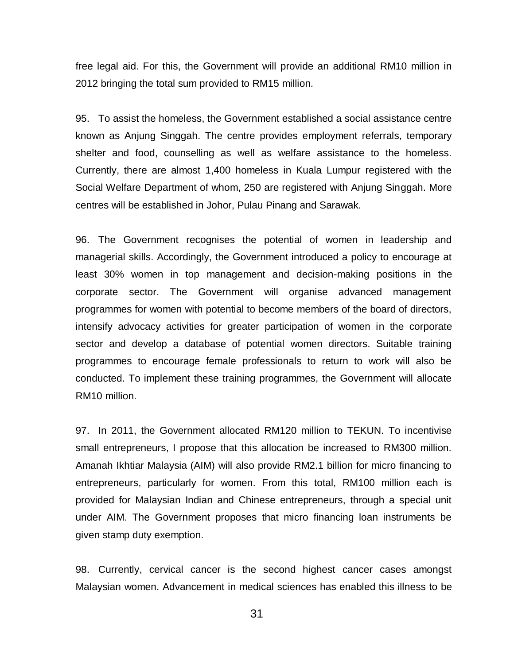free legal aid. For this, the Government will provide an additional RM10 million in 2012 bringing the total sum provided to RM15 million.

95. To assist the homeless, the Government established a social assistance centre known as Anjung Singgah. The centre provides employment referrals, temporary shelter and food, counselling as well as welfare assistance to the homeless. Currently, there are almost 1,400 homeless in Kuala Lumpur registered with the Social Welfare Department of whom, 250 are registered with Anjung Singgah. More centres will be established in Johor, Pulau Pinang and Sarawak.

96. The Government recognises the potential of women in leadership and managerial skills. Accordingly, the Government introduced a policy to encourage at least 30% women in top management and decision-making positions in the corporate sector. The Government will organise advanced management programmes for women with potential to become members of the board of directors, intensify advocacy activities for greater participation of women in the corporate sector and develop a database of potential women directors. Suitable training programmes to encourage female professionals to return to work will also be conducted. To implement these training programmes, the Government will allocate RM10 million.

97. In 2011, the Government allocated RM120 million to TEKUN. To incentivise small entrepreneurs, I propose that this allocation be increased to RM300 million. Amanah Ikhtiar Malaysia (AIM) will also provide RM2.1 billion for micro financing to entrepreneurs, particularly for women. From this total, RM100 million each is provided for Malaysian Indian and Chinese entrepreneurs, through a special unit under AIM. The Government proposes that micro financing loan instruments be given stamp duty exemption.

98. Currently, cervical cancer is the second highest cancer cases amongst Malaysian women. Advancement in medical sciences has enabled this illness to be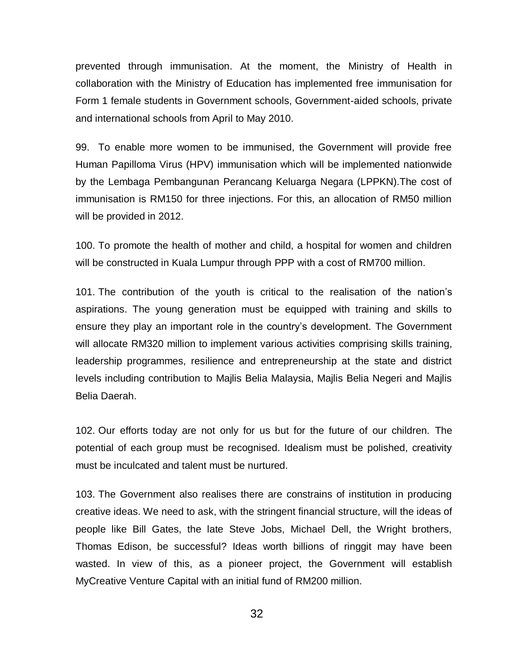prevented through immunisation. At the moment, the Ministry of Health in collaboration with the Ministry of Education has implemented free immunisation for Form 1 female students in Government schools, Government-aided schools, private and international schools from April to May 2010.

99. To enable more women to be immunised, the Government will provide free Human Papilloma Virus (HPV) immunisation which will be implemented nationwide by the Lembaga Pembangunan Perancang Keluarga Negara (LPPKN).The cost of immunisation is RM150 for three injections. For this, an allocation of RM50 million will be provided in 2012.

100. To promote the health of mother and child, a hospital for women and children will be constructed in Kuala Lumpur through PPP with a cost of RM700 million.

101. The contribution of the youth is critical to the realisation of the nation's aspirations. The young generation must be equipped with training and skills to ensure they play an important role in the country's development. The Government will allocate RM320 million to implement various activities comprising skills training, leadership programmes, resilience and entrepreneurship at the state and district levels including contribution to Majlis Belia Malaysia, Majlis Belia Negeri and Majlis Belia Daerah.

102. Our efforts today are not only for us but for the future of our children. The potential of each group must be recognised. Idealism must be polished, creativity must be inculcated and talent must be nurtured.

103. The Government also realises there are constrains of institution in producing creative ideas. We need to ask, with the stringent financial structure, will the ideas of people like Bill Gates, the late Steve Jobs, Michael Dell, the Wright brothers, Thomas Edison, be successful? Ideas worth billions of ringgit may have been wasted. In view of this, as a pioneer project, the Government will establish MyCreative Venture Capital with an initial fund of RM200 million.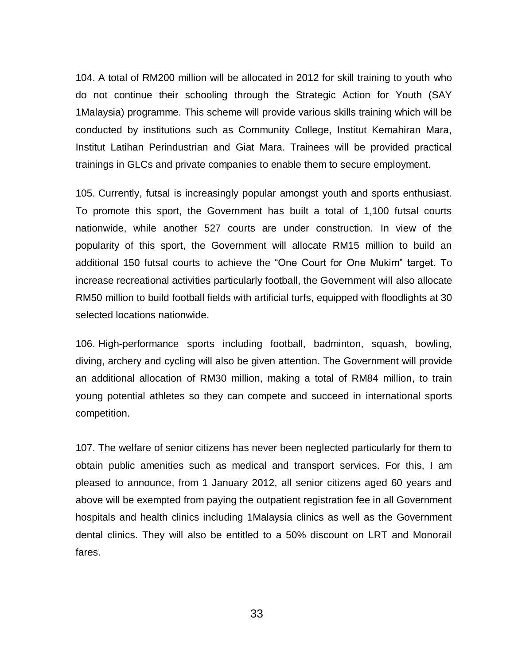104. A total of RM200 million will be allocated in 2012 for skill training to youth who do not continue their schooling through the Strategic Action for Youth (SAY 1Malaysia) programme. This scheme will provide various skills training which will be conducted by institutions such as Community College, Institut Kemahiran Mara, Institut Latihan Perindustrian and Giat Mara. Trainees will be provided practical trainings in GLCs and private companies to enable them to secure employment.

105. Currently, futsal is increasingly popular amongst youth and sports enthusiast. To promote this sport, the Government has built a total of 1,100 futsal courts nationwide, while another 527 courts are under construction. In view of the popularity of this sport, the Government will allocate RM15 million to build an additional 150 futsal courts to achieve the "One Court for One Mukim" target. To increase recreational activities particularly football, the Government will also allocate RM50 million to build football fields with artificial turfs, equipped with floodlights at 30 selected locations nationwide.

106. High-performance sports including football, badminton, squash, bowling, diving, archery and cycling will also be given attention. The Government will provide an additional allocation of RM30 million, making a total of RM84 million, to train young potential athletes so they can compete and succeed in international sports competition.

107. The welfare of senior citizens has never been neglected particularly for them to obtain public amenities such as medical and transport services. For this, I am pleased to announce, from 1 January 2012, all senior citizens aged 60 years and above will be exempted from paying the outpatient registration fee in all Government hospitals and health clinics including 1Malaysia clinics as well as the Government dental clinics. They will also be entitled to a 50% discount on LRT and Monorail fares.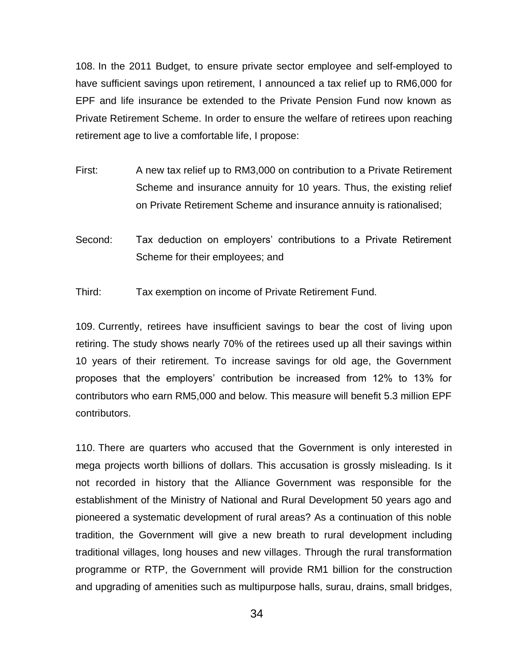108. In the 2011 Budget, to ensure private sector employee and self-employed to have sufficient savings upon retirement, I announced a tax relief up to RM6,000 for EPF and life insurance be extended to the Private Pension Fund now known as Private Retirement Scheme. In order to ensure the welfare of retirees upon reaching retirement age to live a comfortable life, I propose:

- First: A new tax relief up to RM3,000 on contribution to a Private Retirement Scheme and insurance annuity for 10 years. Thus, the existing relief on Private Retirement Scheme and insurance annuity is rationalised;
- Second: Tax deduction on employers' contributions to a Private Retirement Scheme for their employees; and

Third: Tax exemption on income of Private Retirement Fund.

109. Currently, retirees have insufficient savings to bear the cost of living upon retiring. The study shows nearly 70% of the retirees used up all their savings within 10 years of their retirement. To increase savings for old age, the Government proposes that the employers' contribution be increased from 12% to 13% for contributors who earn RM5,000 and below. This measure will benefit 5.3 million EPF contributors.

110. There are quarters who accused that the Government is only interested in mega projects worth billions of dollars. This accusation is grossly misleading. Is it not recorded in history that the Alliance Government was responsible for the establishment of the Ministry of National and Rural Development 50 years ago and pioneered a systematic development of rural areas? As a continuation of this noble tradition, the Government will give a new breath to rural development including traditional villages, long houses and new villages. Through the rural transformation programme or RTP, the Government will provide RM1 billion for the construction and upgrading of amenities such as multipurpose halls, surau, drains, small bridges,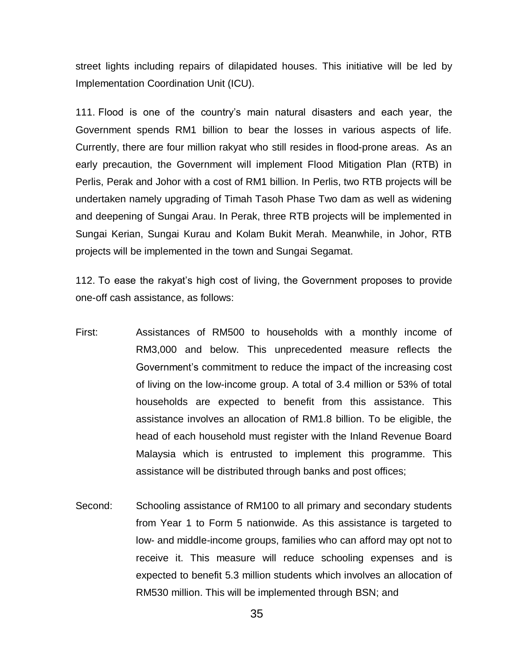street lights including repairs of dilapidated houses. This initiative will be led by Implementation Coordination Unit (ICU).

111. Flood is one of the country's main natural disasters and each year, the Government spends RM1 billion to bear the losses in various aspects of life. Currently, there are four million rakyat who still resides in flood-prone areas. As an early precaution, the Government will implement Flood Mitigation Plan (RTB) in Perlis, Perak and Johor with a cost of RM1 billion. In Perlis, two RTB projects will be undertaken namely upgrading of Timah Tasoh Phase Two dam as well as widening and deepening of Sungai Arau. In Perak, three RTB projects will be implemented in Sungai Kerian, Sungai Kurau and Kolam Bukit Merah. Meanwhile, in Johor, RTB projects will be implemented in the town and Sungai Segamat.

112. To ease the rakyat's high cost of living, the Government proposes to provide one-off cash assistance, as follows:

- First: Assistances of RM500 to households with a monthly income of RM3,000 and below. This unprecedented measure reflects the Government's commitment to reduce the impact of the increasing cost of living on the low-income group. A total of 3.4 million or 53% of total households are expected to benefit from this assistance. This assistance involves an allocation of RM1.8 billion. To be eligible, the head of each household must register with the Inland Revenue Board Malaysia which is entrusted to implement this programme. This assistance will be distributed through banks and post offices;
- Second: Schooling assistance of RM100 to all primary and secondary students from Year 1 to Form 5 nationwide. As this assistance is targeted to low- and middle-income groups, families who can afford may opt not to receive it. This measure will reduce schooling expenses and is expected to benefit 5.3 million students which involves an allocation of RM530 million. This will be implemented through BSN; and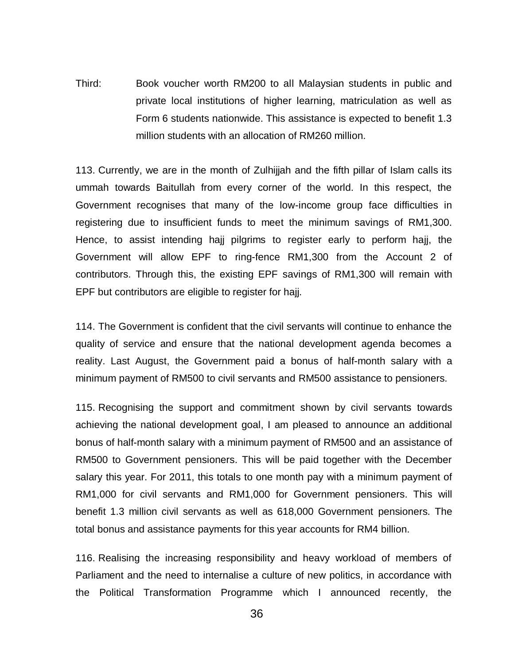Third: Book voucher worth RM200 to all Malaysian students in public and private local institutions of higher learning, matriculation as well as Form 6 students nationwide. This assistance is expected to benefit 1.3 million students with an allocation of RM260 million.

113. Currently, we are in the month of Zulhijjah and the fifth pillar of Islam calls its ummah towards Baitullah from every corner of the world. In this respect, the Government recognises that many of the low-income group face difficulties in registering due to insufficient funds to meet the minimum savings of RM1,300. Hence, to assist intending hajj pilgrims to register early to perform hajj, the Government will allow EPF to ring-fence RM1,300 from the Account 2 of contributors. Through this, the existing EPF savings of RM1,300 will remain with EPF but contributors are eligible to register for hajj.

114. The Government is confident that the civil servants will continue to enhance the quality of service and ensure that the national development agenda becomes a reality. Last August, the Government paid a bonus of half-month salary with a minimum payment of RM500 to civil servants and RM500 assistance to pensioners.

115. Recognising the support and commitment shown by civil servants towards achieving the national development goal, I am pleased to announce an additional bonus of half-month salary with a minimum payment of RM500 and an assistance of RM500 to Government pensioners. This will be paid together with the December salary this year. For 2011, this totals to one month pay with a minimum payment of RM1,000 for civil servants and RM1,000 for Government pensioners. This will benefit 1.3 million civil servants as well as 618,000 Government pensioners. The total bonus and assistance payments for this year accounts for RM4 billion.

116. Realising the increasing responsibility and heavy workload of members of Parliament and the need to internalise a culture of new politics, in accordance with the Political Transformation Programme which I announced recently, the